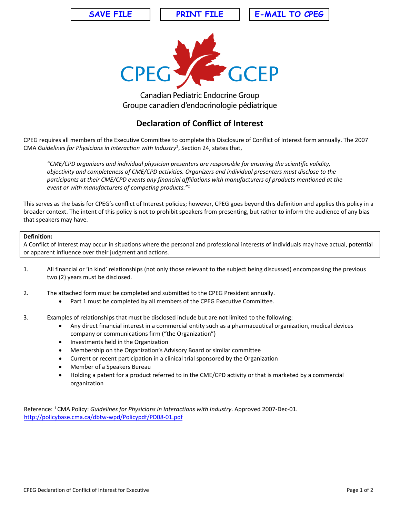**SAVE FILE PRINT FILE E-MAIL TO CPEG**



**Canadian Pediatric Endocrine Group** Groupe canadien d'endocrinologie pédiatrique

## **Declaration of Conflict of Interest**

CPEG requires all members of the Executive Committee to complete this Disclosure of Conflict of Interest form annually. The 2007 CMA Guidelines for Physicians in Interaction with Industry<sup>1</sup>, Section 24, states that,

*"CME/CPD organizers and individual physician presenters are responsible for ensuring the scientific validity, objectivity and completeness of CME/CPD activities. Organizers and individual presenters must disclose to the participants at their CME/CPD events any financial affiliations with manufacturers of products mentioned at the event or with manufacturers of competing products."1*

This serves as the basis for CPEG's conflict of Interest policies; however, CPEG goes beyond this definition and applies this policy in a broader context. The intent of this policy is not to prohibit speakers from presenting, but rather to inform the audience of any bias that speakers may have.

## **Definition:**

A Conflict of Interest may occur in situations where the personal and professional interests of individuals may have actual, potential or apparent influence over their judgment and actions.

- 1. All financial or 'in kind' relationships (not only those relevant to the subject being discussed) encompassing the previous two (2) years must be disclosed.
- 2. The attached form must be completed and submitted to the CPEG President annually.
	- Part 1 must be completed by all members of the CPEG Executive Committee.
- 3. Examples of relationships that must be disclosed include but are not limited to the following:
	- Any direct financial interest in a commercial entity such as a pharmaceutical organization, medical devices company or communications firm ("the Organization")
	- Investments held in the Organization
	- Membership on the Organization's Advisory Board or similar committee
	- Current or recent participation in a clinical trial sponsored by the Organization
	- Member of a Speakers Bureau
	- Holding a patent for a product referred to in the CME/CPD activity or that is marketed by a commercial organization

Reference: <sup>1</sup>CMA Policy: *Guidelines for Physicians in Interactions with Industry*. Approved 2007-Dec-01. http://policybase.cma.ca/dbtw-wpd/Policypdf/PD08-01.pdf